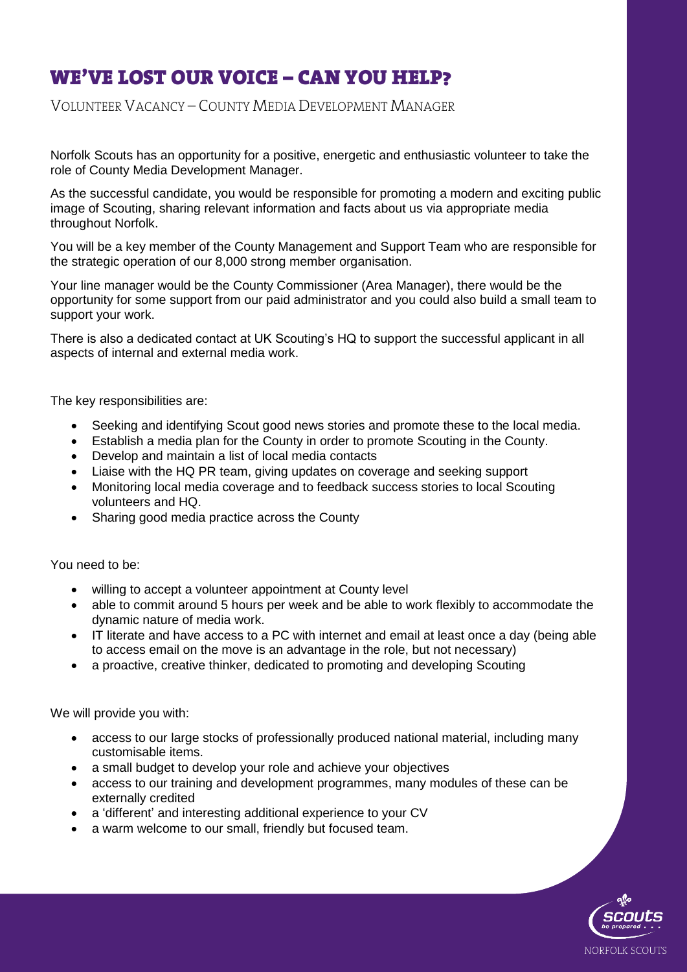# **WE'VE LOST OUR VOICE – CAN YOU HELP?**<br>VOLUNTEER VACANCY – COUNTY MEDIA DEVELOPMENT MANAGER

VOLUNTEER VACANCY – COUNTY MEDIA DEVELOPMENT MANAGER

Norfolk Scouts has an opportunity for a positive, energetic and enthusiastic volunteer to take the role of County Media Development Manager.

As the successful candidate, you would be responsible for promoting a modern and exciting public image of Scouting, sharing relevant information and facts about us via appropriate media throughout Norfolk.

You will be a key member of the County Management and Support Team who are responsible for the strategic operation of our 8,000 strong member organisation.

Your line manager would be the County Commissioner (Area Manager), there would be the opportunity for some support from our paid administrator and you could also build a small team to support your work.

There is also a dedicated contact at UK Scouting's HQ to support the successful applicant in all aspects of internal and external media work.

The key responsibilities are:

- Seeking and identifying Scout good news stories and promote these to the local media.
- Establish a media plan for the County in order to promote Scouting in the County.
- Develop and maintain a list of local media contacts
- Liaise with the HQ PR team, giving updates on coverage and seeking support
- Monitoring local media coverage and to feedback success stories to local Scouting volunteers and HQ.
- Sharing good media practice across the County

You need to be:

- willing to accept a volunteer appointment at County level
- able to commit around 5 hours per week and be able to work flexibly to accommodate the dynamic nature of media work.
- IT literate and have access to a PC with internet and email at least once a day (being able to access email on the move is an advantage in the role, but not necessary)
- a proactive, creative thinker, dedicated to promoting and developing Scouting

We will provide you with:

- access to our large stocks of professionally produced national material, including many customisable items.
- a small budget to develop your role and achieve your objectives
- access to our training and development programmes, many modules of these can be externally credited
- a 'different' and interesting additional experience to your CV
- a warm welcome to our small, friendly but focused team.

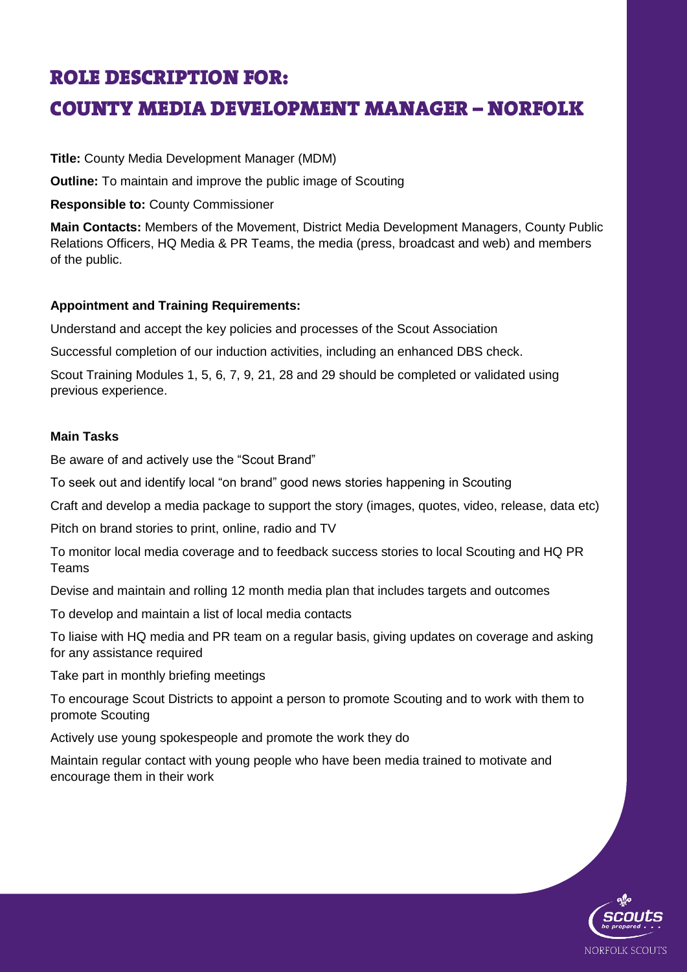### **ROLE DESCRIPTION FOR:**

#### COUNTY MEDIA DEVELOPMENT MANAGER – NORFOLK COUNTY MEDIA DEVELOPMENT MANAGER – NORFOLK

**Title:** County Media Development Manager (MDM)

**Outline:** To maintain and improve the public image of Scouting

**Responsible to:** County Commissioner

**Main Contacts:** Members of the Movement, District Media Development Managers, County Public Relations Officers, HQ Media & PR Teams, the media (press, broadcast and web) and members of the public.

#### **Appointment and Training Requirements:**

Understand and accept the key policies and processes of the Scout Association

Successful completion of our induction activities, including an enhanced DBS check.

Scout Training Modules 1, 5, 6, 7, 9, 21, 28 and 29 should be completed or validated using previous experience.

#### **Main Tasks**

Be aware of and actively use the "Scout Brand"

To seek out and identify local "on brand" good news stories happening in Scouting

Craft and develop a media package to support the story (images, quotes, video, release, data etc)

Pitch on brand stories to print, online, radio and TV

To monitor local media coverage and to feedback success stories to local Scouting and HQ PR Teams

Devise and maintain and rolling 12 month media plan that includes targets and outcomes

To develop and maintain a list of local media contacts

To liaise with HQ media and PR team on a regular basis, giving updates on coverage and asking for any assistance required

Take part in monthly briefing meetings

To encourage Scout Districts to appoint a person to promote Scouting and to work with them to promote Scouting

Actively use young spokespeople and promote the work they do

Maintain regular contact with young people who have been media trained to motivate and encourage them in their work